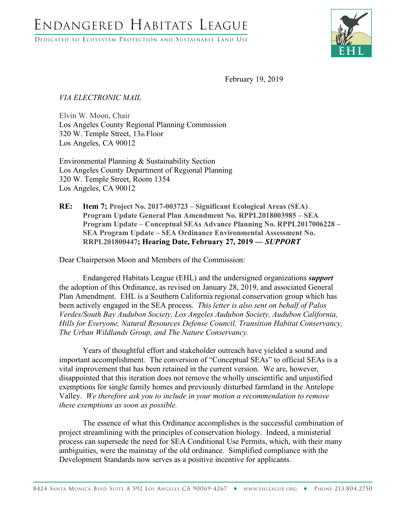DEDICATED TO ECOSYSTEM PROTECTION AND SUSTAINABLE LAND USE



February 19, 2019

## *VIA ELECTRONIC MAIL*

Elvin W. Moon, Chair Los Angeles County Regional Planning Commission 320 W. Temple Street, 13th Floor Los Angeles, CA 90012

Environmental Planning & Sustainability Section Los Angeles County Department of Regional Planning 320 W. Temple Street, Room 1354 Los Angeles, CA 90012

**RE: Item 7; Project No. 2017-003723 – Significant Ecological Areas (SEA) Program Update General Plan Amendment No. RPPL2018003985 – SEA Program Update – Conceptual SEAs Advance Planning No. RPPL2017006228 – SEA Program Update – SEA Ordinance Environmental Assessment No. RRPL201800447; Hearing Date, February 27, 2019 ––** *SUPPORT*

Dear Chairperson Moon and Members of the Commission:

Endangered Habitats League (EHL) and the undersigned organizations *support* the adoption of this Ordinance, as revised on January 28, 2019, and associated General Plan Amendment. EHL is a Southern California regional conservation group which has been actively engaged in the SEA process. *This letter is also sent on behalf of Palos Verdes/South Bay Audubon Society, Los Angeles Audubon Society, Audubon California, Hills for Everyone, Natural Resources Defense Council, Transition Habitat Conservancy, The Urban Wildlands Group, and The Nature Conservancy.*

Years of thoughtful effort and stakeholder outreach have yielded a sound and important accomplishment. The conversion of "Conceptual SEAs" to official SEAs is a vital improvement that has been retained in the current version. We are, however, disappointed that this iteration does not remove the wholly unscientific and unjustified exemptions for single family homes and previously disturbed farmland in the Antelope Valley. *We therefore ask you to include in your motion a recommendation to remove these exemptions as soon as possible.* 

The essence of what this Ordinance accomplishes is the successful combination of project streamlining with the principles of conservation biology. Indeed, a ministerial process can supersede the need for SEA Conditional Use Permits, which, with their many ambiguities, were the mainstay of the old ordinance. Simplified compliance with the Development Standards now serves as a positive incentive for applicants.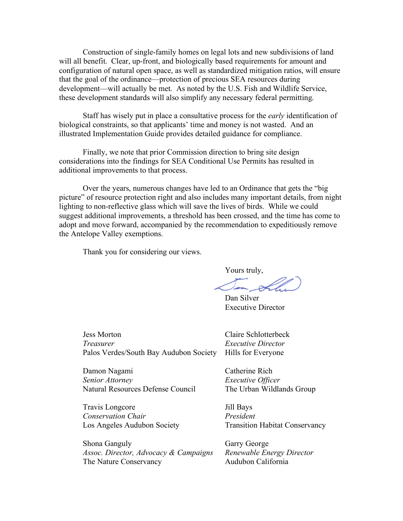Construction of single-family homes on legal lots and new subdivisions of land will all benefit. Clear, up-front, and biologically based requirements for amount and configuration of natural open space, as well as standardized mitigation ratios, will ensure that the goal of the ordinance––protection of precious SEA resources during development––will actually be met. As noted by the U.S. Fish and Wildlife Service, these development standards will also simplify any necessary federal permitting.

Staff has wisely put in place a consultative process for the *early* identification of biological constraints, so that applicants' time and money is not wasted. And an illustrated Implementation Guide provides detailed guidance for compliance.

Finally, we note that prior Commission direction to bring site design considerations into the findings for SEA Conditional Use Permits has resulted in additional improvements to that process.

Over the years, numerous changes have led to an Ordinance that gets the "big picture" of resource protection right and also includes many important details, from night lighting to non-reflective glass which will save the lives of birds. While we could suggest additional improvements, a threshold has been crossed, and the time has come to adopt and move forward, accompanied by the recommendation to expeditiously remove the Antelope Valley exemptions.

Thank you for considering our views.

Yours truly,

Dan Silver Executive Director

Jess Morton Claire Schlotterbeck *Treasurer Executive Director* Palos Verdes/South Bay Audubon Society Hills for Everyone

Damon Nagami Catherine Rich *Senior Attorney Executive Officer* Natural Resources Defense Council The Urban Wildlands Group

Travis Longcore Jill Bays *Conservation Chair President* Los Angeles Audubon Society Transition Habitat Conservancy

Shona Ganguly Garry George *Assoc. Director, Advocacy & Campaigns Renewable Energy Director* The Nature Conservancy **Audubon California**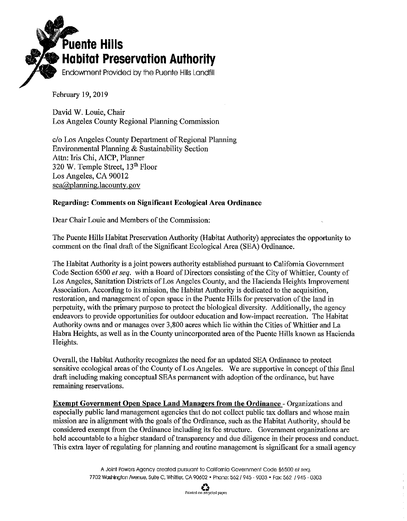

February 19, 2019

David W. Louie, Chair Los Angeles County Regional Planning Commission

c/o Los Angeles County Department of Regional Planning Environmental Planning & Sustainability Section Attn: Iris Chi, AICP, Planner 320 W. Temple Street, 13<sup>th</sup> Floor Los Angeles, CA 90012  $sea$   $\omega$  planning lacounty gov

## Regarding: Comments on Significant Ecological Area Ordinance

Dear Chair Louie and Members of the Commission:

The Puente Hills Habitat Preservation Authority (Habitat Authority) appreciates the opportunity to comment on the final draft of the Significant Ecological Area (SEA) Ordinance.

The Habitat Authority is a joint powers authority established pursuant to California Government Code Section 6500 et seq. with a Board of Directors consisting of the City of Whittier, County of Los Angeles, Sanitation Districts of Los Angeles County, and the Hacienda Heights Improvement Association. According to its mission, the Habitat Authority is dedicated to the acquisition, restoration, and management of open space in the Puente Hills for preservation of the land in perpetuity, with the primary purpose to protect the biological diversity. Additionally, the agency endeavors to provide opportunities for outdoor education and low-impact recreation. The Habitat Authority owns and or manages over 3,800 acres which lie within the Cities of Whittier and La Habra Heights, as well as in the County unincorporated area of the Puente Hills known as Hacienda Heights.

Overall, the Habitat Authority recognizes the need for an updated SEA Ordinance to protect sensitive ecological areas of the County of Los Angeles. We are supportive in concept of this final draft including making conceptual SEAs permanent with adoption of the ordinance, but have remaining reservations.

**Exempt Government Open Space Land Managers from the Ordinance - Organizations and** especially public land management agencies that do not collect public tax dollars and whose main mission are in alignment with the goals of the Ordinance, such as the Habitat Authority, should be considered exempt from the Ordinance including its fee structure. Government organizations are held accountable to a higher standard of transparency and due diligence in their process and conduct. This extra layer of regulating for planning and routine management is significant for a small agency

> A Joint Powers Agency created pursuant to California Government Code \$6500 et sea. 7702 Washington Avenue, Suite C, Whittier, CA 90602 . Phone: 562 / 945 - 9003 . Fax: 562 / 945 - 0303